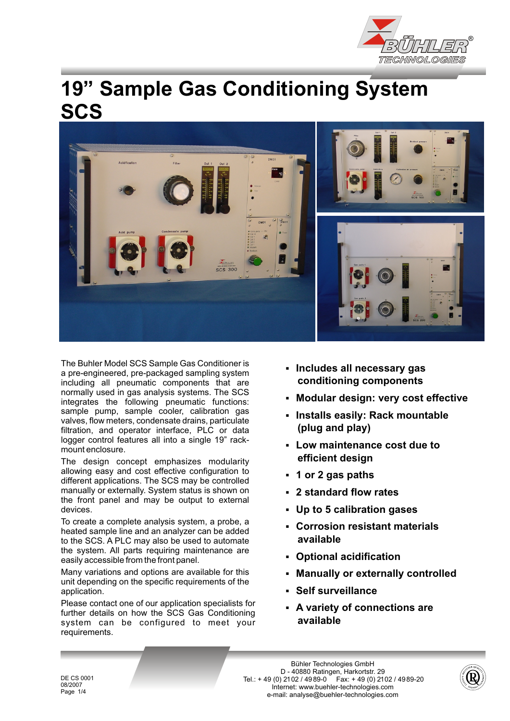

# **19" Sample Gas Conditioning System SCS**



The Buhler Model SCS Sample Gas Conditioner is Frie Burlier Model SCS Sample Gas Conditioner Is<br>a pre-engineered, pre-packaged sampling system<br>including all pneumatic components that are **conditioning components** including all pneumatic components that are normally used in gas analysis systems. The SCS Fromany used in gas analysis systems. The SCS<br>integrates the following pneumatic functions:<br>sample pump, sample cooler, calibration gas sample pump, sample cooler, calibration gas<br>
valves, flow meters, condensate drains, particulate<br>
filtration and operator interface PLC or data (**plug and play)** filtration, and operator interface, PLC or data logger control features all into a single 19" rack-

The design concept emphasizes modularity allowing easy and cost effective configuration to **1 or 2 gas paths** different applications. The SCS may be controlled manually or externally. System status is shown on **a subset of all of the standard flow rates** the front panel and may be output to external devices.

To create a complete analysis system, a probe, a Fo create a complete analysis system, a probe, a<br>heated sample line and an analyzer can be added<br>to the SCS, A PLC may also be used to automate **available** to the SCS. A PLC may also be used to automate the system. All parts requiring maintenance are easily accessible from the front panel.

Many variations and options are available for this **Manually or externally controlled** unit depending on the specific requirements of the application. § **Self surveillance**

Please contact one of our application specialists for Frease contact one of our application specialists for **A** variety of connections are further details on how the SCS Gas Conditioning<br>
system can be configured to meet your **available** system can be configured to meet your requirements.

- 
- 
- 
- France control reatures all this a single 19 rack-<br>mount enclosure.<br>The decising concept emphasizes modularity **efficient design** 
	-
	-
	- **Up to 5 calibration gases**
	-
	-
	-
	-
	-

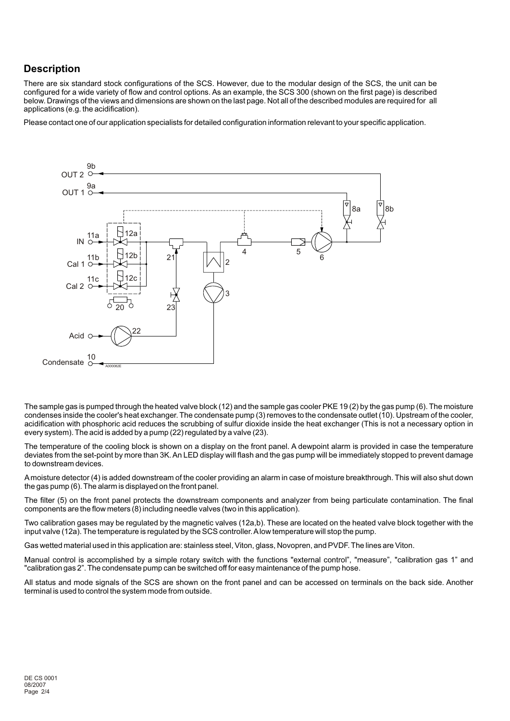## **Description**

There are six standard stock configurations of the SCS. However, due to the modular design of the SCS, the unit can be configured for a wide variety of flow and control options. As an example, the SCS 300 (shown on the first page) is described below. Drawings of the views and dimensions are shown on the last page. Not all of the described modules are required for all applications (e.g. the acidification).

Please contact one of our application specialists for detailed configuration information relevant to your specific application.



The sample gas is pumped through the heated valve block (12) and the sample gas cooler PKE 19 (2) by the gas pump (6). The moisture condenses inside the cooler's heat exchanger. The condensate pump (3) removes to the condensate outlet (10). Upstream of the cooler, acidification with phosphoric acid reduces the scrubbing of sulfur dioxide inside the heat exchanger (This is not a necessary option in every system). The acid is added by a pump (22) regulated by a valve (23).

The temperature of the cooling block is shown on a display on the front panel. A dewpoint alarm is provided in case the temperature deviates from the set-point by more than 3K. An LED display will flash and the gas pump will be immediately stopped to prevent damage to downstream devices.

A moisture detector (4) is added downstream of the cooler providing an alarm in case of moisture breakthrough. This will also shut down the gas pump (6). The alarm is displayed on the front panel.

The filter (5) on the front panel protects the downstream components and analyzer from being particulate contamination. The final components are the flow meters (8) including needle valves (two in this application).

Two calibration gases may be regulated by the magnetic valves (12a,b). These are located on the heated valve block together with the input valve (12a). The temperature is regulated by the SCS controller. Alow temperature will stop the pump.

Gas wetted material used in this application are: stainless steel, Viton, glass, Novopren, and PVDF. The lines are Viton.

Manual control is accomplished by a simple rotary switch with the functions "external control", "measure", "calibration gas 1" and "calibration gas 2". The condensate pump can be switched off for easy maintenance of the pump hose.

All status and mode signals of the SCS are shown on the front panel and can be accessed on terminals on the back side. Another terminal is used to control the system mode from outside.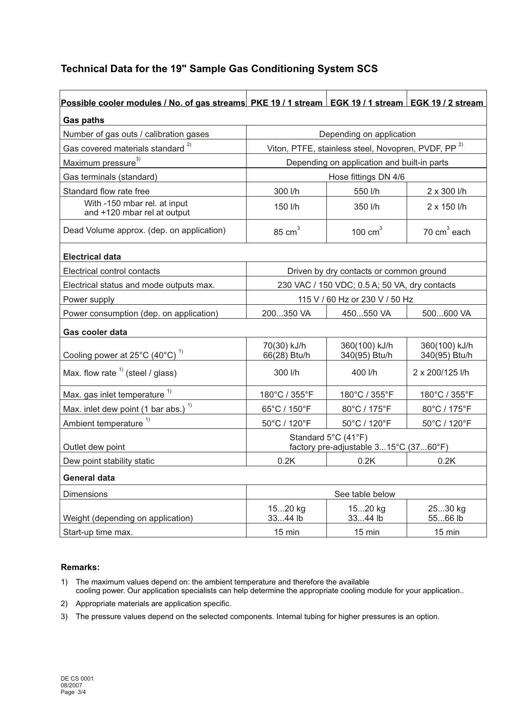## **Technical Data for the 19" Sample Gas Conditioning System SCS**

| Possible cooler modules / No. of gas streams PKE 19 / 1 stream EGK 19 / 1 stream EGK 19 / 2 stream |                                                                |                                |                                |
|----------------------------------------------------------------------------------------------------|----------------------------------------------------------------|--------------------------------|--------------------------------|
| <b>Gas paths</b>                                                                                   |                                                                |                                |                                |
| Number of gas outs / calibration gases                                                             | Depending on application                                       |                                |                                |
| Gas covered materials standard <sup>2)</sup>                                                       | Viton, PTFE, stainless steel, Novopren, PVDF, PP <sup>2)</sup> |                                |                                |
| Maximum pressure <sup>3)</sup>                                                                     | Depending on application and built-in parts                    |                                |                                |
| Gas terminals (standard)                                                                           | Hose fittings DN 4/6                                           |                                |                                |
| Standard flow rate free                                                                            | 300 l/h                                                        | 550 l/h                        | 2 x 300 l/h                    |
| With -150 mbar rel. at input<br>and +120 mbar rel at output                                        | 150 l/h                                                        | 350 l/h                        | $2 \times 150$ I/h             |
| Dead Volume approx. (dep. on application)                                                          | $85 \text{ cm}^3$                                              | 100 $cm3$                      | $70 \text{ cm}^3$ each         |
| <b>Electrical data</b>                                                                             |                                                                |                                |                                |
| Electrical control contacts                                                                        | Driven by dry contacts or common ground                        |                                |                                |
| Electrical status and mode outputs max.                                                            | 230 VAC / 150 VDC; 0.5 A; 50 VA, dry contacts                  |                                |                                |
| Power supply                                                                                       | 115 V / 60 Hz or 230 V / 50 Hz                                 |                                |                                |
| Power consumption (dep. on application)                                                            | 200350 VA                                                      | 450550 VA                      | 500600 VA                      |
| Gas cooler data                                                                                    |                                                                |                                |                                |
| Cooling power at $25^{\circ}$ C (40°C) <sup>1)</sup>                                               | 70(30) kJ/h<br>66(28) Btu/h                                    | 360(100) kJ/h<br>340(95) Btu/h | 360(100) kJ/h<br>340(95) Btu/h |
| Max. flow rate $1$ (steel / glass)                                                                 | $300$ I/h                                                      | 400 l/h                        | 2 x 200/125 l/h                |
| Max. gas inlet temperature <sup>1)</sup>                                                           | 180°C / 355°F                                                  | 180°C / 355°F                  | 180°C / 355°F                  |
| Max. inlet dew point (1 bar abs.) $1$                                                              | 65°C / 150°F                                                   | 80°C / 175°F                   | 80°C / 175°F                   |
| Ambient temperature <sup>1)</sup>                                                                  | 50°C / 120°F                                                   | 50°C / 120°F                   | 50°C / 120°F                   |
| Outlet dew point                                                                                   | Standard 5°C (41°F)<br>factory pre-adjustable 315°C (3760°F)   |                                |                                |
| Dew point stability static                                                                         | 0.2K                                                           | 0.2K                           | 0.2K                           |
| <b>General data</b>                                                                                |                                                                |                                |                                |
| <b>Dimensions</b>                                                                                  | See table below                                                |                                |                                |
| Weight (depending on application)                                                                  | 1520 kg<br>3344 lb                                             | 1520 kg<br>3344 lb             | 2530 kg<br>5566 lb             |
| Start-up time max.                                                                                 | $15 \text{ min}$                                               | $15 \text{ min}$               | $15 \text{ min}$               |

#### **Remarks:**

- 1) The maximum values depend on: the ambient temperature and therefore the available cooling power. Our application specialists can help determine the appropriate cooling module for your application..
- 2) Appropriate materials are application specific.
- 3) The pressure values depend on the selected components. Internal tubing for higher pressures is an option.